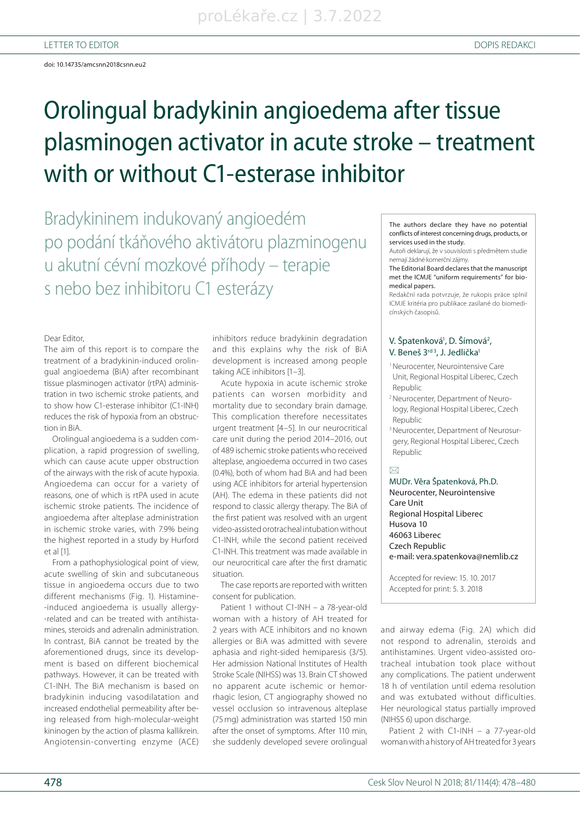# Orolingual bradykinin angioedema after tissue plasminogen activator in acute stroke – treatment with or without C1-esterase inhibitor

Bradykininem indukovaný angioedém po podání tkáňového aktivátoru plazminogenu u akutní cévní mozkové příhody – terapie s nebo bez inhibitoru C1 esterázy

#### Dear Editor,

The aim of this report is to compare the treatment of a bradykinin-induced orolingual angioedema (BiA) after recombinant tissue plasminogen activator (rtPA) administration in two ischemic stroke patients, and to show how C1-esterase inhibitor (C1-INH) reduces the risk of hypoxia from an obstruction in BiA.

Orolingual angioedema is a sudden complication, a rapid progression of swelling, which can cause acute upper obstruction of the airways with the risk of acute hypoxia. Angioedema can occur for a variety of reasons, one of which is rtPA used in acute ischemic stroke patients. The incidence of angioedema after alteplase administration in ischemic stroke varies, with 7.9% being the highest reported in a study by Hurford et al [1].

From a pathophysiological point of view, acute swelling of skin and subcutaneous tis sue in angioedema occurs due to two different mechanisms (Fig. 1). Histamine--induced angioedema is usually allergy--related and can be treated with antihistamines, steroids and adrenalin administration. In contrast, BiA cannot be treated by the aforementioned drugs, since its development is based on different biochemical pathways. However, it can be treated with C1-INH. The BiA mechanism is based on bradykinin inducing vasodilatation and increased endothelial permeability after be ing released from high-molecular-weight kininogen by the action of plasma kallikrein. Angiotensin-converting enzyme (ACE)

inhibitors reduce bradykinin degradation and this explains why the risk of BiA development is increased among people taking ACE inhibitors [1-3].

Acute hypoxia in acute ischemic stroke patients can worsen morbidity and mortality due to secondary brain damage. This complication therefore necessitates urgent treatment [4–5]. In our neurocritical care unit during the period 2014-2016, out of 489 ischemic stroke patients who received alteplase, angioedema occurred in two cases (0.4%), both of whom had BiA and had been using ACE inhibitors for arterial hypertension (AH). The edema in these patients did not respond to classic allergy therapy. The BiA of the first patient was resolved with an urgent video-as sisted orotracheal intubation without C1-INH, while the second patient received C1-INH. This treatment was made available in our neurocritical care after the first dramatic situation.

The case reports are reported with written consent for publication.

Patient 1 without C1-INH – a 78-year-old woman with a history of AH treated for 2 years with ACE inhibitors and no known allergies or BiA was admitted with severe aphasia and right-sided hemiparesis (3/5). Her admission National Institutes of Health Stroke Scale (NIHSS) was 13. Brain CT showed no apparent acute ischemic or hemorrhagic lesion, CT angiography showed no ves sel occlusion so intravenous alteplase (75 mg) administration was started 150 min after the onset of symptoms. After 110 min, she suddenly developed severe orolingual

The authors declare they have no potential conflicts of interest concerning drugs, products, or services used in the study.

Autoři deklarují, že v souvislosti s předmětem studie nemají žádné komerční zájmy.

The Editorial Board declares that the manuscript met the ICMJE "uniform requirements" for biomedical papers.

Redakční rada potvrzuje, že rukopis práce splnil ICMJE kritéria pro publikace zasílané do biomedicínských časopisů.

### V. Špatenková<sup>1</sup>, D. Šímová<sup>2</sup>, V. Beneš 3rd<sup>3</sup>, J. Jedlička<sup>1</sup>

- <sup>1</sup> Neurocenter, Neurointensive Care Unit, Regional Hospital Liberec, Czech Republic
- 2 Neurocenter, Department of Neurology, Regional Hospital Liberec, Czech Republic
- <sup>3</sup> Neurocenter, Department of Neurosurgery, Regional Hospital Liberec, Czech Republic

#### $\boxtimes$

MUDr. Věra Špatenková, Ph.D. Neurocenter, Neurointensive Care Unit Regional Hospital Liberec Husova 10 46063 Liberec Czech Republic e-mail: vera.spatenkova@nemlib.cz

Accepted for review: 15. 10. 2017 Accepted for print: 5. 3. 2018

and airway edema (Fig. 2A) which did not respond to adrenalin, steroids and antihistamines. Urgent video-assisted orotracheal intubation took place without any complications. The patient underwent 18 h of ventilation until edema resolution and was extubated without difficulties. Her neurological status partially improved (NIHSS 6) upon discharge.

Patient 2 with C1-INH – a 77-year-old woman with a history of AH treated for 3 years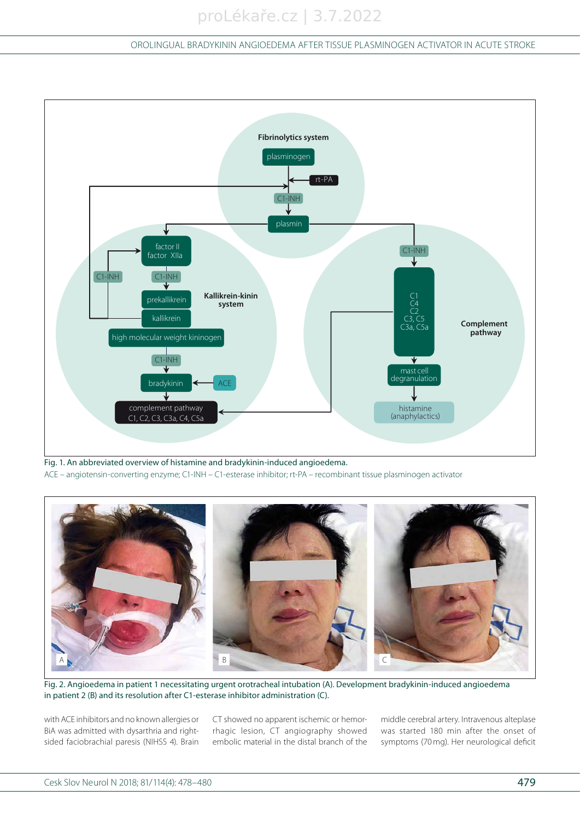# OROLINGUAL BRADYKININ ANGIOEDEMA AFTER TISSUE PLASMINOGEN ACTIVATOR IN ACUTE STROKE



Fig. 1. An abbreviated overview of histamine and bradykinin-induced angioedema. ACE – angiotensin-converting enzyme; C1-INH – C1-esterase inhibitor; rt-PA – recombinant tissue plasminogen activator



Fig. 2. Angioedema in patient 1 necessitating urgent orotracheal intubation (A). Development bradykinin-induced angioedema in patient 2 (B) and its resolution after C1-esterase inhibitor administration (C).

with ACE inhibitors and no known allergies or BiA was admitted with dysarthria and rightsided faciobrachial paresis (NIHSS 4). Brain CT showed no apparent ischemic or hemorrhagic lesion, CT angiography showed embolic material in the distal branch of the

middle cerebral artery. Intravenous alteplase was started 180 min after the onset of symptoms (70 mg). Her neurological deficit